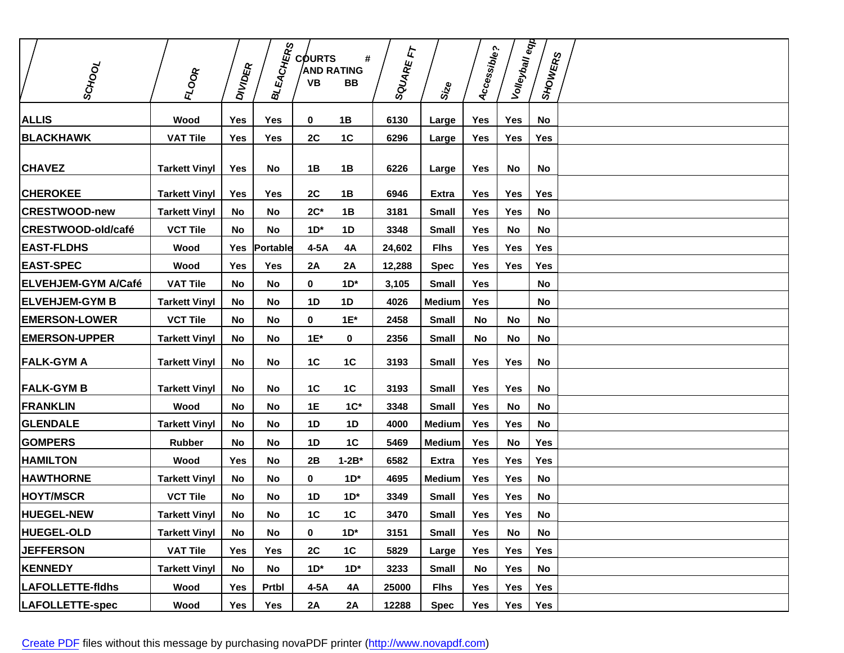|                            |                      |                | <b>BLEACHERS</b> | <b>COURTS</b>           | #              | E             |               | Accessible? | Volleyball eqp |                |  |
|----------------------------|----------------------|----------------|------------------|-------------------------|----------------|---------------|---------------|-------------|----------------|----------------|--|
| ISCHOOL                    | <b>FLOOR</b>         | <b>DIVIDER</b> |                  | <b>AND RATING</b><br>VB | BB             | <b>SQUARE</b> |               |             |                | <b>SHOWERS</b> |  |
|                            |                      |                |                  |                         |                |               | Size          |             |                |                |  |
| <b>ALLIS</b>               | Wood                 | <b>Yes</b>     | <b>Yes</b>       | 0                       | 1B             | 6130          | Large         | <b>Yes</b>  | Yes            | No             |  |
| <b>BLACKHAWK</b>           | <b>VAT Tile</b>      | Yes            | Yes              | 2C                      | 1C             | 6296          | Large         | Yes         | Yes            | Yes            |  |
| <b>CHAVEZ</b>              | <b>Tarkett Vinyl</b> | Yes            | No               | 1B                      | 1B             | 6226          | Large         | Yes         | No             | No             |  |
| <b>CHEROKEE</b>            | <b>Tarkett Vinyl</b> | Yes            | Yes              | 2C                      | 1B             | 6946          | Extra         | Yes         | Yes            | Yes            |  |
| <b>CRESTWOOD-new</b>       | <b>Tarkett Vinyl</b> | No             | <b>No</b>        | $2C^*$                  | 1B             | 3181          | <b>Small</b>  | <b>Yes</b>  | Yes            | No             |  |
| CRESTWOOD-old/café         | <b>VCT Tile</b>      | No             | <b>No</b>        | $1D^*$                  | 1D             | 3348          | <b>Small</b>  | <b>Yes</b>  | No             | No             |  |
| <b>EAST-FLDHS</b>          | Wood                 | Yes            | Portable         | $4-5A$                  | 4A             | 24,602        | <b>Flhs</b>   | <b>Yes</b>  | Yes            | <b>Yes</b>     |  |
| <b>EAST-SPEC</b>           | Wood                 | Yes            | Yes              | <b>2A</b>               | 2A             | 12,288        | <b>Spec</b>   | Yes         | Yes            | Yes            |  |
| <b>ELVEHJEM-GYM A/Café</b> | <b>VAT Tile</b>      | No             | No               | $\mathbf 0$             | $1D^*$         | 3,105         | <b>Small</b>  | <b>Yes</b>  |                | No             |  |
| <b> ELVEHJEM-GYM B</b>     | <b>Tarkett Vinyl</b> | No             | No               | 1 <sub>D</sub>          | 1D             | 4026          | <b>Medium</b> | Yes         |                | No             |  |
| <b>EMERSON-LOWER</b>       | <b>VCT Tile</b>      | No             | No               | 0                       | $1E^*$         | 2458          | <b>Small</b>  | No          | No             | No             |  |
| <b>EMERSON-UPPER</b>       | <b>Tarkett Vinyl</b> | No             | No               | $1E^*$                  | 0              | 2356          | <b>Small</b>  | No          | No             | No             |  |
| <b>FALK-GYMA</b>           | <b>Tarkett Vinyl</b> | No             | No               | 1C                      | 1C             | 3193          | <b>Small</b>  | Yes         | <b>Yes</b>     | No             |  |
| <b>FALK-GYMB</b>           | <b>Tarkett Vinyl</b> | No             | No               | 1C                      | 1C             | 3193          | <b>Small</b>  | <b>Yes</b>  | Yes            | No             |  |
| <b>FRANKLIN</b>            | Wood                 | No             | <b>No</b>        | 1E                      | $1C^*$         | 3348          | <b>Small</b>  | <b>Yes</b>  | No             | No             |  |
| <b>GLENDALE</b>            | <b>Tarkett Vinyl</b> | No             | No               | <b>1D</b>               | 1D             | 4000          | <b>Medium</b> | Yes         | Yes            | No             |  |
| <b>GOMPERS</b>             | <b>Rubber</b>        | No             | <b>No</b>        | 1 <sub>D</sub>          | 1 <sup>C</sup> | 5469          | <b>Medium</b> | Yes         | No             | Yes            |  |
| <b>HAMILTON</b>            | Wood                 | <b>Yes</b>     | <b>No</b>        | 2B                      | $1 - 2B^*$     | 6582          | <b>Extra</b>  | <b>Yes</b>  | <b>Yes</b>     | <b>Yes</b>     |  |
| <b>HAWTHORNE</b>           | <b>Tarkett Vinyl</b> | No             | <b>No</b>        | 0                       | $1D^*$         | 4695          | <b>Medium</b> | Yes         | Yes            | No             |  |
| <b>HOYT/MSCR</b>           | <b>VCT Tile</b>      | <b>No</b>      | No               | 1D                      | $1D^*$         | 3349          | <b>Small</b>  | <b>Yes</b>  | Yes            | No             |  |
| <b>HUEGEL-NEW</b>          | <b>Tarkett Vinyl</b> | No             | No               | 1C                      | 1C             | 3470          | <b>Small</b>  | Yes         | Yes            | No             |  |
| <b>HUEGEL-OLD</b>          | <b>Tarkett Vinyl</b> | No.            | <b>No</b>        | 0                       | $1D^*$         | 3151          | <b>Small</b>  | Yes         | No             | No             |  |
| <b>JEFFERSON</b>           | <b>VAT Tile</b>      | Yes            | Yes              | 2C                      | 1C             | 5829          | Large         | Yes         | Yes            | Yes            |  |
| <b>KENNEDY</b>             | <b>Tarkett Vinyl</b> | No             | No               | $1D^*$                  | $1D^*$         | 3233          | <b>Small</b>  | No          | Yes            | No             |  |
| LAFOLLETTE-fidhs           | Wood                 | Yes            | Prtbl            | $4-5A$                  | 4A             | 25000         | <b>Flhs</b>   | Yes         | Yes            | Yes            |  |
| LAFOLLETTE-spec            | Wood                 | Yes            | Yes              | 2A                      | 2A             | 12288         | <b>Spec</b>   | Yes         | Yes            | Yes            |  |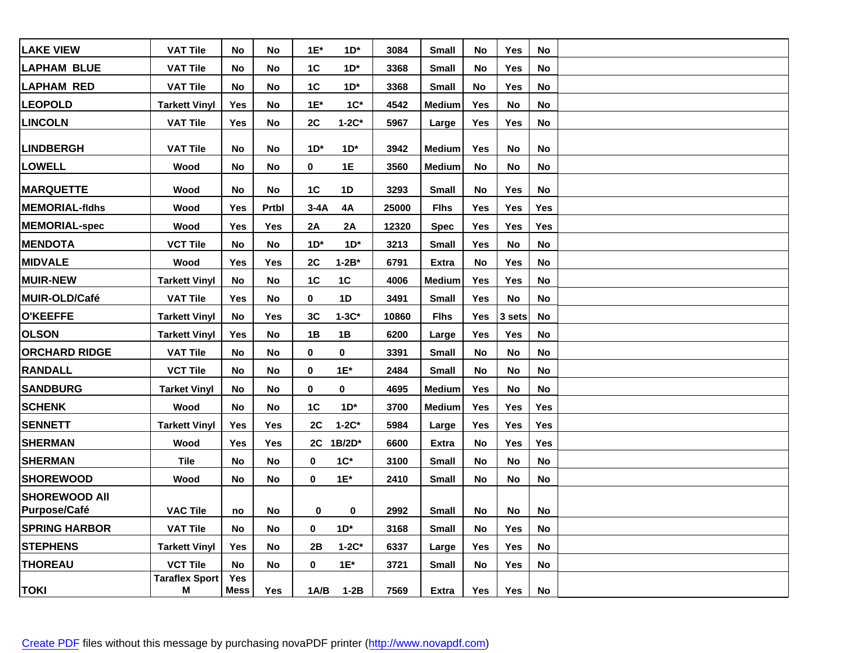| <b>LAKE VIEW</b>                            | <b>VAT Tile</b>       | No          | No.        | $1E^*$ | $1D^*$    | 3084  | Small         | No  | Yes        | No         |  |
|---------------------------------------------|-----------------------|-------------|------------|--------|-----------|-------|---------------|-----|------------|------------|--|
| <b>ILAPHAM BLUE</b>                         | <b>VAT Tile</b>       | No          | No         | 1C     | $1D^*$    | 3368  | Small         | No  | Yes        | No         |  |
| <b>LAPHAM RED</b>                           | <b>VAT Tile</b>       | No          | No         | 1C     | $1D^*$    | 3368  | <b>Small</b>  | No  | <b>Yes</b> | No         |  |
| <b>LEOPOLD</b>                              | <b>Tarkett Vinyl</b>  | Yes         | No         | $1E^*$ | $1C^*$    | 4542  | <b>Medium</b> | Yes | No         | No         |  |
| <b>LINCOLN</b>                              | <b>VAT Tile</b>       | Yes         | No         | 2C     | $1-2C*$   | 5967  | Large         | Yes | Yes        | No         |  |
| <b>LINDBERGH</b>                            | <b>VAT Tile</b>       | No          | No         | $1D^*$ | $1D^*$    | 3942  | <b>Medium</b> | Yes | No         | No         |  |
| <b>LOWELL</b>                               | Wood                  | No          | No         | 0      | 1E        | 3560  | <b>Medium</b> | No  | No         | No         |  |
| <b>MARQUETTE</b>                            | Wood                  | No          | No         | 1C     | <b>1D</b> | 3293  | <b>Small</b>  | No  | Yes        | No         |  |
| <b>MEMORIAL-fidhs</b>                       | Wood                  | Yes         | Prtbl      | $3-4A$ | 4A        | 25000 | <b>Flhs</b>   | Yes | <b>Yes</b> | Yes        |  |
| <b>MEMORIAL-spec</b>                        | Wood                  | Yes         | Yes        | 2A     | 2A        | 12320 | <b>Spec</b>   | Yes | <b>Yes</b> | Yes        |  |
| <b>MENDOTA</b>                              | <b>VCT Tile</b>       | No          | No         | $1D^*$ | $1D^*$    | 3213  | <b>Small</b>  | Yes | No         | No         |  |
| <b>MIDVALE</b>                              | Wood                  | <b>Yes</b>  | Yes        | 2C     | $1-2B^*$  | 6791  | <b>Extra</b>  | No  | Yes        | No         |  |
| <b>MUIR-NEW</b>                             | <b>Tarkett Vinyl</b>  | No          | <b>No</b>  | 1C     | 1C        | 4006  | <b>Medium</b> | Yes | <b>Yes</b> | No         |  |
| MUIR-OLD/Café                               | <b>VAT Tile</b>       | Yes         | No         | 0      | 1D        | 3491  | <b>Small</b>  | Yes | No         | No         |  |
| <b>O'KEEFFE</b>                             | <b>Tarkett Vinyl</b>  | No          | Yes        | 3C     | $1-3C*$   | 10860 | <b>Flhs</b>   | Yes | 3 sets     | No         |  |
| <b>OLSON</b>                                | <b>Tarkett Vinyl</b>  | Yes         | <b>No</b>  | 1B     | 1B        | 6200  | Large         | Yes | Yes        | No         |  |
| <b>ORCHARD RIDGE</b>                        | <b>VAT Tile</b>       | No          | No         | 0      | 0         | 3391  | <b>Small</b>  | No  | No         | No         |  |
| <b>RANDALL</b>                              | <b>VCT Tile</b>       | No          | No         | 0      | $1E^*$    | 2484  | <b>Small</b>  | No  | <b>No</b>  | No         |  |
| <b>SANDBURG</b>                             | <b>Tarket Vinyl</b>   | No          | No         | 0      | 0         | 4695  | <b>Medium</b> | Yes | No         | No         |  |
| <b>SCHENK</b>                               | Wood                  | No          | No         | 1C     | $1D^*$    | 3700  | <b>Medium</b> | Yes | <b>Yes</b> | Yes        |  |
| <b>SENNETT</b>                              | <b>Tarkett Vinyl</b>  | Yes         | <b>Yes</b> | 2C     | $1-2C^*$  | 5984  | Large         | Yes | Yes        | Yes        |  |
| <b>SHERMAN</b>                              | Wood                  | Yes         | Yes        |        | 2C 1B/2D* | 6600  | Extra         | No  | <b>Yes</b> | <b>Yes</b> |  |
| <b>SHERMAN</b>                              | Tile                  | No          | No         | 0      | $1C^*$    | 3100  | <b>Small</b>  | No  | <b>No</b>  | No         |  |
| <b> SHOREWOOD</b>                           | Wood                  | No          | No         | 0      | $1E^*$    | 2410  | <b>Small</b>  | No  | No         | No         |  |
| <b>SHOREWOOD All</b><br><b>Purpose/Café</b> | <b>VAC Tile</b>       |             | No         | 0      | 0         | 2992  | <b>Small</b>  | No  | No         |            |  |
| <b>SPRING HARBOR</b>                        | <b>VAT Tile</b>       | no<br>No    | No         | 0      | $1D^*$    | 3168  |               | No  |            | No.        |  |
| <b>STEPHENS</b>                             | <b>Tarkett Vinyl</b>  | Yes         |            | 2B     | $1-2C*$   | 6337  | Small         |     | Yes        | No<br>No   |  |
| <b>THOREAU</b>                              | <b>VCT Tile</b>       | <b>No</b>   | No<br>No   | 0      |           | 3721  | Large         | Yes | Yes<br>Yes |            |  |
|                                             | <b>Taraflex Sport</b> | Yes         |            |        | $1E^*$    |       | <b>Small</b>  | No  |            | <b>No</b>  |  |
| <b>TOKI</b>                                 | M                     | <b>Mess</b> | Yes        | 1A/B   | $1-2B$    | 7569  | <b>Extra</b>  | Yes | Yes        | No         |  |